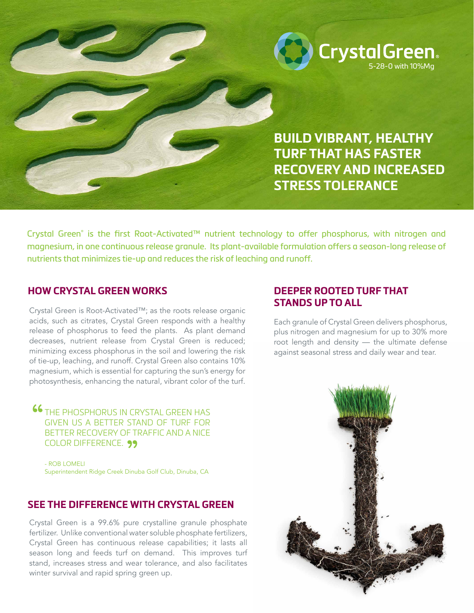

**BUILD VIBRANT, HEALTHY TURF THAT HAS FASTER RECOVERY AND INCREASED STRESS TOLERANCE**

Crystal Green® is the first Root-Activated™ nutrient technology to offer phosphorus, with nitrogen and magnesium, in one continuous release granule. Its plant-available formulation offers a season-long release of nutrients that minimizes tie-up and reduces the risk of leaching and runoff.

## **HOW CRYSTAL GREEN WORKS**

Crystal Green is Root-Activated™; as the roots release organic acids, such as citrates, Crystal Green responds with a healthy release of phosphorus to feed the plants. As plant demand decreases, nutrient release from Crystal Green is reduced; minimizing excess phosphorus in the soil and lowering the risk of tie-up, leaching, and runoff. Crystal Green also contains 10% magnesium, which is essential for capturing the sun's energy for photosynthesis, enhancing the natural, vibrant color of the turf.

**46** THE PHOSPHORUS IN CRYSTAL GREEN HAS GIVEN US A BETTER STAND OF TURF FOR " COLOR DIFFERENCE. GIVEN US A BETTER STAND OF TURF FOR BETTER RECOVERY OF TRAFFIC AND A NICE

- ROB LOMELI Superintendent Ridge Creek Dinuba Golf Club, Dinuba, CA

## **SEE THE DIFFERENCE WITH CRYSTAL GREEN**

Crystal Green is a 99.6% pure crystalline granule phosphate fertilizer. Unlike conventional water soluble phosphate fertilizers, Crystal Green has continuous release capabilities; it lasts all season long and feeds turf on demand. This improves turf stand, increases stress and wear tolerance, and also facilitates winter survival and rapid spring green up.

## **DEEPER ROOTED TURF THAT STANDS UP TO ALL**

Each granule of Crystal Green delivers phosphorus, plus nitrogen and magnesium for up to 30% more root length and density — the ultimate defense against seasonal stress and daily wear and tear.